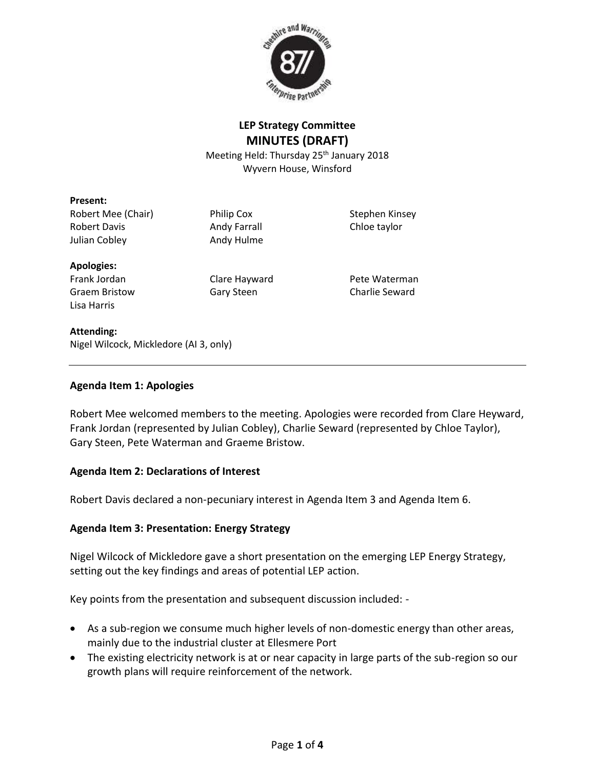

# **LEP Strategy Committee MINUTES (DRAFT)**

Meeting Held: Thursday 25<sup>th</sup> January 2018 Wyvern House, Winsford

### **Present:**

Robert Mee (Chair) **Philip Cox** Stephen Kinsey Robert Davis **Andy Farrall** Chloe taylor Julian Cobley **Andy Hulme** 

#### **Apologies:**

Lisa Harris

Frank Jordan Clare Hayward Pete Waterman Graem Bristow **Gary Steen** Charlie Seward

#### **Attending:**

Nigel Wilcock, Mickledore (AI 3, only)

### **Agenda Item 1: Apologies**

Robert Mee welcomed members to the meeting. Apologies were recorded from Clare Heyward, Frank Jordan (represented by Julian Cobley), Charlie Seward (represented by Chloe Taylor), Gary Steen, Pete Waterman and Graeme Bristow.

### **Agenda Item 2: Declarations of Interest**

Robert Davis declared a non-pecuniary interest in Agenda Item 3 and Agenda Item 6.

## **Agenda Item 3: Presentation: Energy Strategy**

Nigel Wilcock of Mickledore gave a short presentation on the emerging LEP Energy Strategy, setting out the key findings and areas of potential LEP action.

Key points from the presentation and subsequent discussion included: -

- As a sub-region we consume much higher levels of non-domestic energy than other areas, mainly due to the industrial cluster at Ellesmere Port
- The existing electricity network is at or near capacity in large parts of the sub-region so our growth plans will require reinforcement of the network.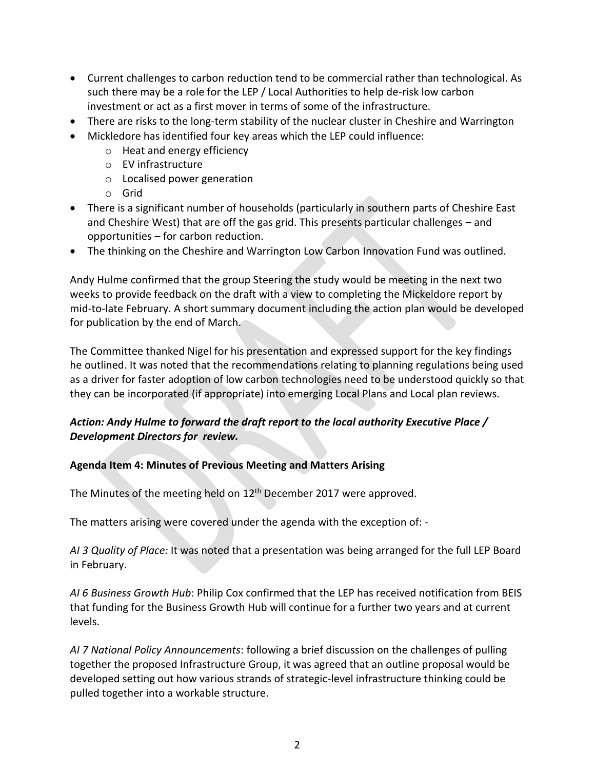- Current challenges to carbon reduction tend to be commercial rather than technological. As such there may be a role for the LEP / Local Authorities to help de-risk low carbon investment or act as a first mover in terms of some of the infrastructure.
- There are risks to the long-term stability of the nuclear cluster in Cheshire and Warrington
- Mickledore has identified four key areas which the LEP could influence:
	- o Heat and energy efficiency
	- o EV infrastructure
	- o Localised power generation
	- o Grid
- There is a significant number of households (particularly in southern parts of Cheshire East and Cheshire West) that are off the gas grid. This presents particular challenges – and opportunities – for carbon reduction.
- The thinking on the Cheshire and Warrington Low Carbon Innovation Fund was outlined.

Andy Hulme confirmed that the group Steering the study would be meeting in the next two weeks to provide feedback on the draft with a view to completing the Mickeldore report by mid-to-late February. A short summary document including the action plan would be developed for publication by the end of March.

The Committee thanked Nigel for his presentation and expressed support for the key findings he outlined. It was noted that the recommendations relating to planning regulations being used as a driver for faster adoption of low carbon technologies need to be understood quickly so that they can be incorporated (if appropriate) into emerging Local Plans and Local plan reviews.

# *Action: Andy Hulme to forward the draft report to the local authority Executive Place / Development Directors for review.*

### **Agenda Item 4: Minutes of Previous Meeting and Matters Arising**

The Minutes of the meeting held on  $12<sup>th</sup>$  December 2017 were approved.

The matters arising were covered under the agenda with the exception of: -

*AI 3 Quality of Place:* It was noted that a presentation was being arranged for the full LEP Board in February.

*AI 6 Business Growth Hub*: Philip Cox confirmed that the LEP has received notification from BEIS that funding for the Business Growth Hub will continue for a further two years and at current levels.

*AI 7 National Policy Announcements*: following a brief discussion on the challenges of pulling together the proposed Infrastructure Group, it was agreed that an outline proposal would be developed setting out how various strands of strategic-level infrastructure thinking could be pulled together into a workable structure.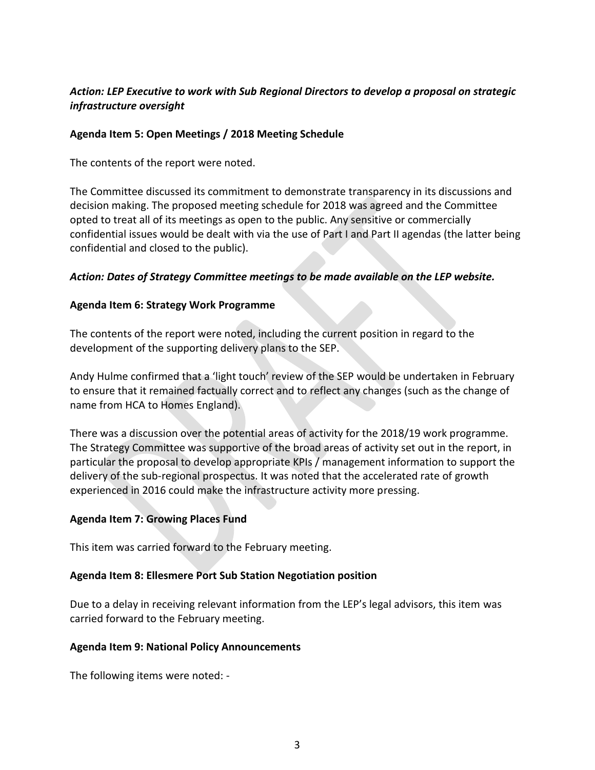## *Action: LEP Executive to work with Sub Regional Directors to develop a proposal on strategic infrastructure oversight*

### **Agenda Item 5: Open Meetings / 2018 Meeting Schedule**

The contents of the report were noted.

The Committee discussed its commitment to demonstrate transparency in its discussions and decision making. The proposed meeting schedule for 2018 was agreed and the Committee opted to treat all of its meetings as open to the public. Any sensitive or commercially confidential issues would be dealt with via the use of Part I and Part II agendas (the latter being confidential and closed to the public).

### *Action: Dates of Strategy Committee meetings to be made available on the LEP website.*

### **Agenda Item 6: Strategy Work Programme**

The contents of the report were noted, including the current position in regard to the development of the supporting delivery plans to the SEP.

Andy Hulme confirmed that a 'light touch' review of the SEP would be undertaken in February to ensure that it remained factually correct and to reflect any changes (such as the change of name from HCA to Homes England).

There was a discussion over the potential areas of activity for the 2018/19 work programme. The Strategy Committee was supportive of the broad areas of activity set out in the report, in particular the proposal to develop appropriate KPIs / management information to support the delivery of the sub-regional prospectus. It was noted that the accelerated rate of growth experienced in 2016 could make the infrastructure activity more pressing.

### **Agenda Item 7: Growing Places Fund**

This item was carried forward to the February meeting.

### **Agenda Item 8: Ellesmere Port Sub Station Negotiation position**

Due to a delay in receiving relevant information from the LEP's legal advisors, this item was carried forward to the February meeting.

### **Agenda Item 9: National Policy Announcements**

The following items were noted: -